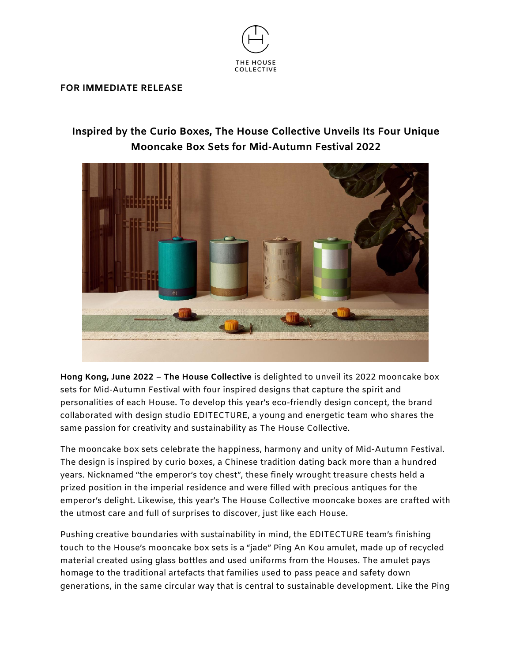

## **FOR IMMEDIATE RELEASE**

## **Inspired by the Curio Boxes, The House Collective Unveils Its Four Unique Mooncake Box Sets for Mid-Autumn Festival 2022**



**Hong Kong, June 2022** – **The House Collective** is delighted to unveil its 2022 mooncake box sets for Mid-Autumn Festival with four inspired designs that capture the spirit and personalities of each House. To develop this year's eco-friendly design concept, the brand collaborated with design studio EDITECTURE, a young and energetic team who shares the same passion for creativity and sustainability as The House Collective.

The mooncake box sets celebrate the happiness, harmony and unity of Mid-Autumn Festival. The design is inspired by curio boxes, a Chinese tradition dating back more than a hundred years. Nicknamed "the emperor's toy chest", these finely wrought treasure chests held a prized position in the imperial residence and were filled with precious antiques for the emperor's delight. Likewise, this year's The House Collective mooncake boxes are crafted with the utmost care and full of surprises to discover, just like each House.

Pushing creative boundaries with sustainability in mind, the EDITECTURE team's finishing touch to the House's mooncake box sets is a "jade" Ping An Kou amulet, made up of recycled material created using glass bottles and used uniforms from the Houses. The amulet pays homage to the traditional artefacts that families used to pass peace and safety down generations, in the same circular way that is central to sustainable development. Like the Ping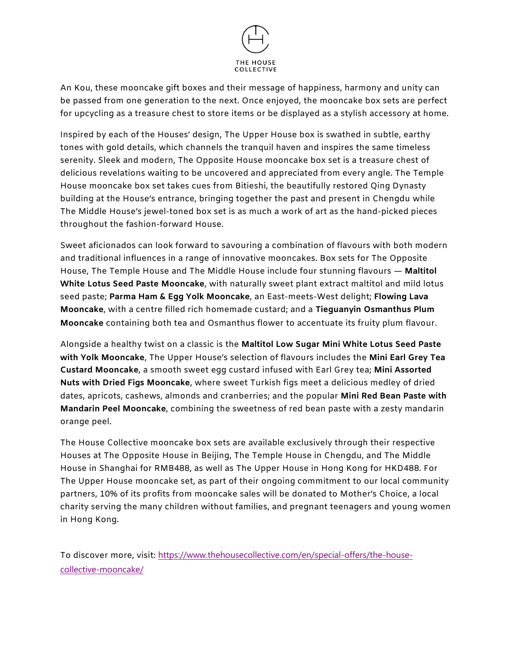

An Kou, these mooncake gift boxes and their message of happiness, harmony and unity can be passed from one generation to the next. Once enjoyed, the mooncake box sets are perfect for upcycling as a treasure chest to store items or be displayed as a stylish accessory at home.

Inspired by each of the Houses' design, The Upper House box is swathed in subtle, earthy tones with gold details, which channels the tranquil haven and inspires the same timeless serenity. Sleek and modern, The Opposite House mooncake box set is a treasure chest of delicious revelations waiting to be uncovered and appreciated from every angle. The Temple House mooncake box set takes cues from Bitieshi, the beautifully restored Qing Dynasty building at the House's entrance, bringing together the past and present in Chengdu while The Middle House's jewel-toned box set is as much a work of art as the hand-picked pieces throughout the fashion-forward House.

Sweet aficionados can look forward to savouring a combination of flavours with both modern and traditional influences in a range of innovative mooncakes. Box sets for The Opposite House, The Temple House and The Middle House include four stunning flavours — **Maltitol White Lotus Seed Paste Mooncake**, with naturally sweet plant extract maltitol and mild lotus seed paste; **Parma Ham & Egg Yolk Mooncake**, an East-meets-West delight; **Flowing Lava Mooncake**, with a centre filled rich homemade custard; and a **Tieguanyin Osmanthus Plum Mooncake** containing both tea and Osmanthus flower to accentuate its fruity plum flavour.

Alongside a healthy twist on a classic is the **Maltitol Low Sugar Mini White Lotus Seed Paste with Yolk Mooncake**, The Upper House's selection of flavours includes the **Mini Earl Grey Tea Custard Mooncake**, a smooth sweet egg custard infused with Earl Grey tea; **Mini Assorted Nuts with Dried Figs Mooncake**, where sweet Turkish figs meet a delicious medley of dried dates, apricots, cashews, almonds and cranberries; and the popular **Mini Red Bean Paste with Mandarin Peel Mooncake**, combining the sweetness of red bean paste with a zesty mandarin orange peel.

The House Collective mooncake box sets are available exclusively through their respective Houses at The Opposite House in Beijing, The Temple House in Chengdu, and The Middle House in Shanghai for RMB488, as well as The Upper House in Hong Kong for HKD488. For The Upper House mooncake set, as part of their ongoing commitment to our local community partners, 10% of its profits from mooncake sales will be donated to Mother's Choice, a local charity serving the many children without families, and pregnant teenagers and young women in Hong Kong.

To discover more, visit: [https://www.thehousecollective.com/en/special-offers/the-house](https://www.thehousecollective.com/en/special-offers/the-house-collective-mooncake/)[collective-mooncake/](https://www.thehousecollective.com/en/special-offers/the-house-collective-mooncake/)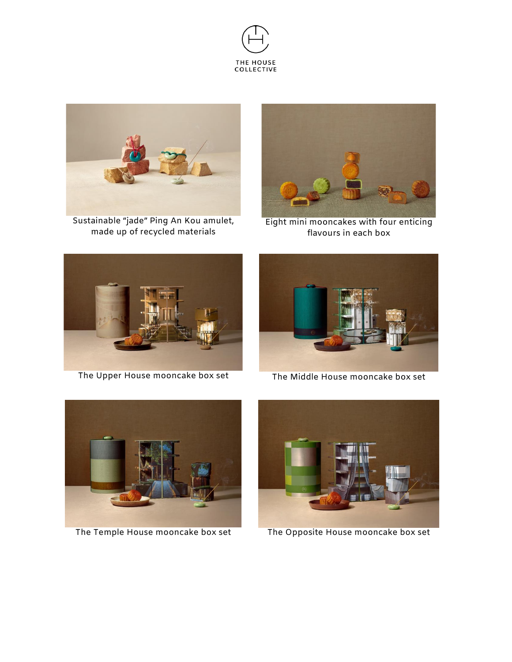



Sustainable "jade" Ping An Kou amulet, made up of recycled materials



Eight mini mooncakes with four enticing flavours in each box



The Upper House mooncake box set The Middle House mooncake box set







The Temple House mooncake box set The Opposite House mooncake box set